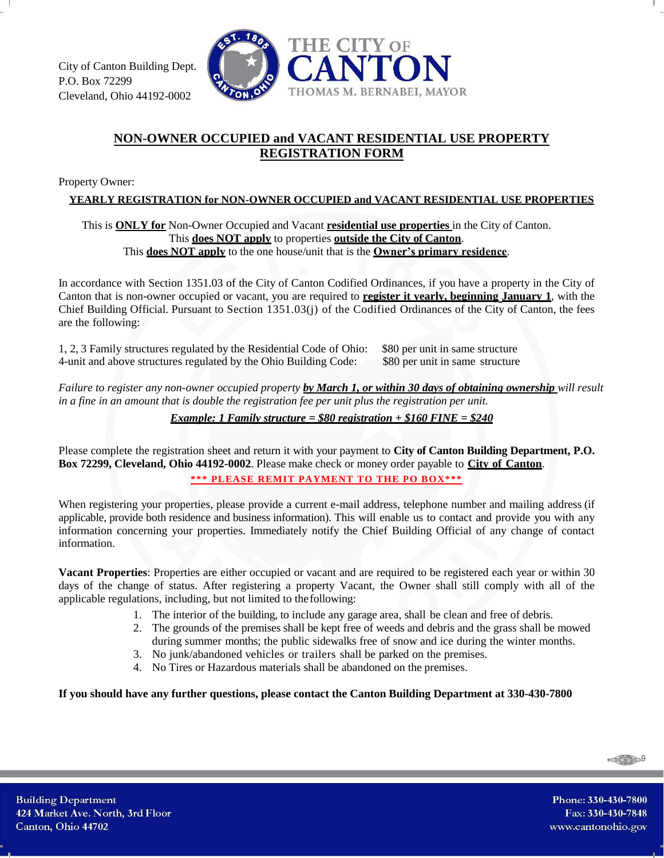

## **NON-OWNER OCCUPIED and VACANT RESIDENTIAL USE PROPERTY REGISTRATION FORM**

Property Owner:

**YEARLY REGISTRATION for NON-OWNER OCCUPIED and VACANT RESIDENTIAL USE PROPERTIES**

## This is **ONLY for** Non-Owner Occupied and Vacant **residential use properties** in the City of Canton. This **does NOT apply** to properties **outside the City of Canton**. This **does NOT apply** to the one house/unit that is the **Owner's primary residence**.

In accordance with Section 1351.03 of the City of Canton Codified Ordinances, if you have a property in the City of Canton that is non-owner occupied or vacant, you are required to **register it yearly, beginning January 1**, with the Chief Building Official. Pursuant to Section 1351.03(j) of the Codified Ordinances of the City of Canton, the fees are the following:

1, 2, 3 Family structures regulated by the Residential Code of Ohio: \$80 per unit in same structure 4-unit and above structures regulated by the Ohio Building Code: \$80 per unit in same structure

*Failure to register any non-owner occupied property by March 1, or within 30 days of obtaining ownership will result in a fine in an amount that is double the registration fee per unit plus the registration per unit.*

*Example: 1 Family structure = \$80 registration + \$160 FINE = \$240*

Please complete the registration sheet and return it with your payment to **City of Canton Building Department, P.O. Box 72299, Cleveland, Ohio 44192-0002**. Please make check or money order payable to **City of Canton**.

**\*\*\* PLEASE REMIT PAYMENT TO THE PO BOX\*\*\***

When registering your properties, please provide a current e-mail address, telephone number and mailing address (if applicable, provide both residence and business information). This will enable us to contact and provide you with any information concerning your properties. Immediately notify the Chief Building Official of any change of contact information.

**Vacant Properties**: Properties are either occupied or vacant and are required to be registered each year or within 30 days of the change of status. After registering a property Vacant, the Owner shall still comply with all of the applicable regulations, including, but not limited to the following:

- 1. The interior of the building, to include any garage area, shall be clean and free of debris.
- 2. The grounds of the premises shall be kept free of weeds and debris and the grass shall be mowed during summer months; the public sidewalks free of snow and ice during the winter months.
- 3. No junk/abandoned vehicles or trailers shall be parked on the premises.
- 4. No Tires or Hazardous materials shall be abandoned on the premises.

**If you should have any further questions, please contact the Canton Building Department at 330-430-7800**

 $-\frac{1}{2}$ 

Phone: 330-430-7800 Fax: 330-430-7848 www.cantonohio.gov